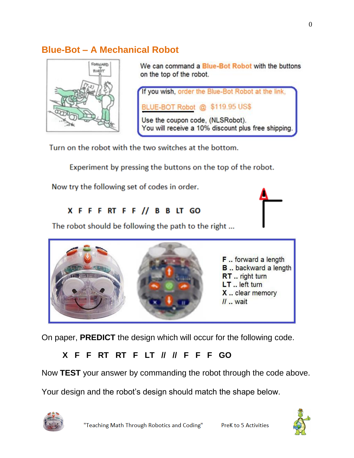# **Blue-Bot – A Mechanical Robot**



We can command a Blue-Bot Robot with the buttons on the top of the robot.



Turn on the robot with the two switches at the bottom.

Experiment by pressing the buttons on the top of the robot.

Now try the following set of codes in order.

#### X F F F RT F F // B B LT GO

The robot should be following the path to the right ...



On paper, **PREDICT** the design which will occur for the following code.

## **X F F RT RT F LT // // F F F GO**

Now **TEST** your answer by commanding the robot through the code above.

Your design and the robot's design should match the shape below.



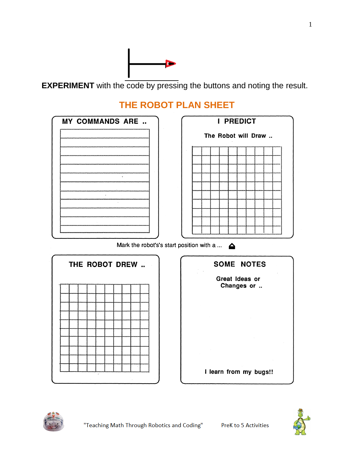

**EXPERIMENT** with the code by pressing the buttons and noting the result.

# **THE ROBOT PLAN SHEET**



Mark the robot's's start position with a ...  $\triangle$ 







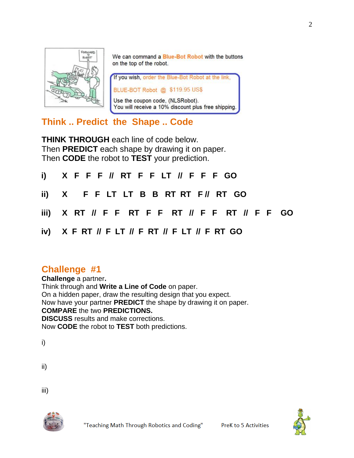

We can command a Blue-Bot Robot with the buttons on the top of the robot.

If you wish, order the Blue-Bot Robot at the link, BLUE-BOT Robot @ \$119.95 US\$ Use the coupon code, (NLSRobot). You will receive a 10% discount plus free shipping.

## **Think .. Predict the Shape .. Code**

**THINK THROUGH** each line of code below. Then **PREDICT** each shape by drawing it on paper. Then **CODE** the robot to **TEST** your prediction.

| i) X F F F // RT F F LT // F F F GO                     |
|---------------------------------------------------------|
| ii) X F F LT LT B B RT RT F // RT GO                    |
| iii) X RT // F F RT F F RT // F F RT // F F GO          |
| iv) $X$ F RT $\#$ F LT $\#$ F RT $\#$ F LT $\#$ F RT GO |

## **Challenge #1**

**Challenge** a partner**.** Think through and **Write a Line of Code** on paper. On a hidden paper, draw the resulting design that you expect. Now have your partner **PREDICT** the shape by drawing it on paper. **COMPARE** the two **PREDICTIONS. DISCUSS** results and make corrections. Now **CODE** the robot to **TEST** both predictions.

i)

ii)

iii)



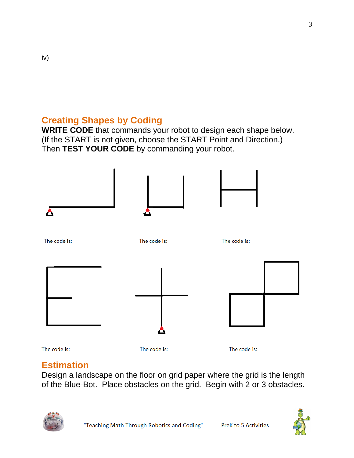# **Creating Shapes by Coding**

**WRITE CODE** that commands your robot to design each shape below. (If the START is not given, choose the START Point and Direction.) Then **TEST YOUR CODE** by commanding your robot.



The code is:

iv)

The code is:

The code is:

# **Estimation**

Design a landscape on the floor on grid paper where the grid is the length of the Blue-Bot. Place obstacles on the grid. Begin with 2 or 3 obstacles.



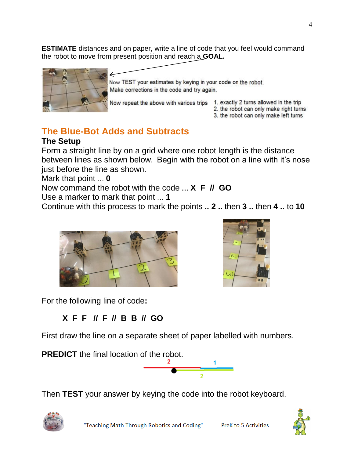**ESTIMATE** distances and on paper, write a line of code that you feel would command the robot to move from present position and reach a **GOAL.** 



Now TEST your estimates by keying in your code on the robot. Make corrections in the code and try again.

- Now repeat the above with various trips 1. exactly 2 turns allowed in the trip
	-
	- 2. the robot can only make right turns
	- 3. the robot can only make left turns

# **The Blue-Bot Adds and Subtracts**

#### **The Setup**

Form a straight line by on a grid where one robot length is the distance between lines as shown below. Begin with the robot on a line with it's nose just before the line as shown.

Mark that point … **0**

Now command the robot with the code **… X F // GO**

Use a marker to mark that point … **1**

Continue with this process to mark the points **.. 2 ..** then **3 ..** then **4 ..** to **10**





For the following line of code**:**

## **X F F // F // B B // GO**

First draw the line on a separate sheet of paper labelled with numbers.

**PREDICT** the final location of the robot.



Then **TEST** your answer by keying the code into the robot keyboard.



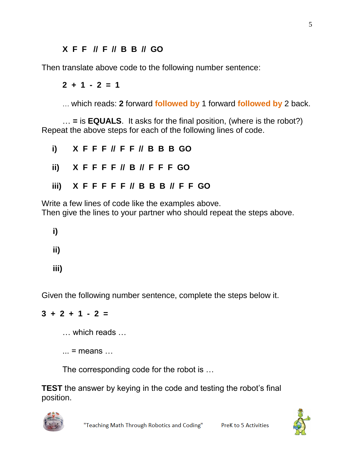#### **X F F // F // B B // GO**

Then translate above code to the following number sentence:

**2 + 1 - 2 = 1**

… which reads: **2** forward **followed by** 1 forward **followed by** 2 back.

… **=** is **EQUALS**. It asks for the final position, (where is the robot?) Repeat the above steps for each of the following lines of code.

| i) $X$ F F F $\#$ F F $\#$ B B B GO                |  |  |  |  |  |  |  |
|----------------------------------------------------|--|--|--|--|--|--|--|
| ii) $X$ F F F F $\parallel$ B $\parallel$ F F F GO |  |  |  |  |  |  |  |
| iii) XFFFFF // BBB // FFGO                         |  |  |  |  |  |  |  |

Write a few lines of code like the examples above. Then give the lines to your partner who should repeat the steps above.

 **i)**

- **ii)**
- **iii)**

Given the following number sentence, complete the steps below it.

#### **3 + 2 + 1 - 2 =**

- … which reads …
- $\ldots$  = means  $\ldots$

The corresponding code for the robot is …

**TEST** the answer by keying in the code and testing the robot's final position.